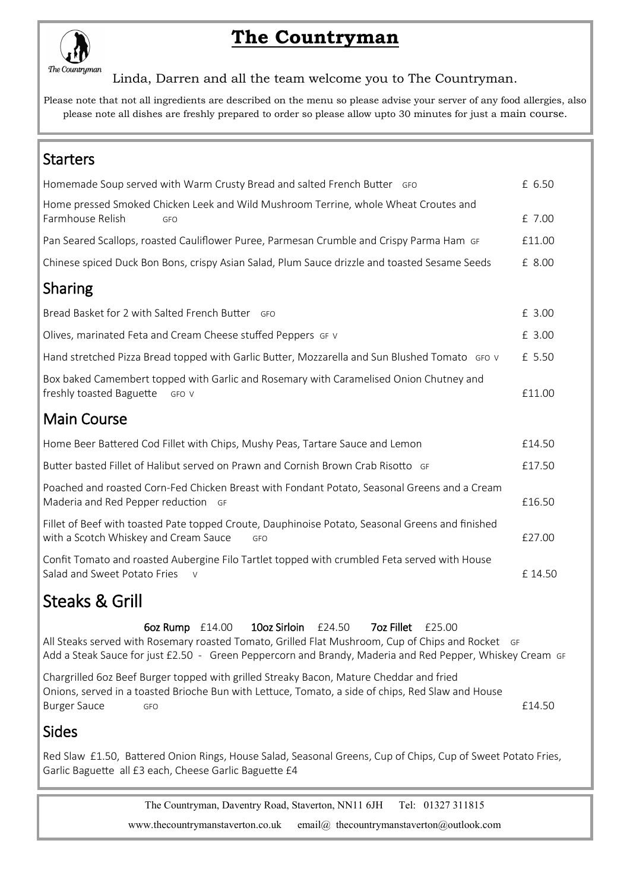

# **The Countryman**

Linda, Darren and all the team welcome you to The Countryman.

Please note that not all ingredients are described on the menu so please advise your server of any food allergies, also please note all dishes are freshly prepared to order so please allow upto 30 minutes for just a main course.

### **Starters**

| Homemade Soup served with Warm Crusty Bread and salted French Butter GFO                                                                         | £ 6.50 |
|--------------------------------------------------------------------------------------------------------------------------------------------------|--------|
| Home pressed Smoked Chicken Leek and Wild Mushroom Terrine, whole Wheat Croutes and<br>Farmhouse Relish<br>GFO                                   | £ 7.00 |
| Pan Seared Scallops, roasted Cauliflower Puree, Parmesan Crumble and Crispy Parma Ham GF                                                         | £11.00 |
| Chinese spiced Duck Bon Bons, crispy Asian Salad, Plum Sauce drizzle and toasted Sesame Seeds                                                    | £ 8.00 |
| <b>Sharing</b>                                                                                                                                   |        |
| Bread Basket for 2 with Salted French Butter GFO                                                                                                 | £ 3.00 |
| Olives, marinated Feta and Cream Cheese stuffed Peppers GF V                                                                                     | £ 3.00 |
| Hand stretched Pizza Bread topped with Garlic Butter, Mozzarella and Sun Blushed Tomato GFO v                                                    | £ 5.50 |
| Box baked Camembert topped with Garlic and Rosemary with Caramelised Onion Chutney and<br>freshly toasted Baguette<br>GFO V                      | £11.00 |
| <b>Main Course</b>                                                                                                                               |        |
| Home Beer Battered Cod Fillet with Chips, Mushy Peas, Tartare Sauce and Lemon                                                                    | £14.50 |
| Butter basted Fillet of Halibut served on Prawn and Cornish Brown Crab Risotto GF                                                                | £17.50 |
| Poached and roasted Corn-Fed Chicken Breast with Fondant Potato, Seasonal Greens and a Cream<br>Maderia and Red Pepper reduction GF              | £16.50 |
| Fillet of Beef with toasted Pate topped Croute, Dauphinoise Potato, Seasonal Greens and finished<br>with a Scotch Whiskey and Cream Sauce<br>GFO | £27.00 |
| Confit Tomato and roasted Aubergine Filo Tartlet topped with crumbled Feta served with House<br>Salad and Sweet Potato Fries<br>$\vee$           | £14.50 |
| <b>Steaks &amp; Grill</b>                                                                                                                        |        |

Steaks & Grill

6oz Rump £14.00 10oz Sirloin £24.50 7oz Fillet £25.00

All Steaks served with Rosemary roasted Tomato, Grilled Flat Mushroom, Cup of Chips and Rocket GF Add a Steak Sauce for just £2.50 - Green Peppercorn and Brandy, Maderia and Red Pepper, Whiskey Cream GF

Chargrilled 6oz Beef Burger topped with grilled Streaky Bacon, Mature Cheddar and fried Onions, served in a toasted Brioche Bun with Lettuce, Tomato, a side of chips, Red Slaw and House Burger Sauce GFO GFO **2006** GFO **2006** GFO **2006** GFO GFO **2006** GFO **2006** GFO **2006** GFO **2006** GFO **2006** GFO **2006** GFO **2006** GFO **2006** GFO **2006** GFO **2006** GFO **2006** GFO **2006** GFO **2006** GFO **2006** GFO **2006** GFO

# Sides

Red Slaw £1.50, Battered Onion Rings, House Salad, Seasonal Greens, Cup of Chips, Cup of Sweet Potato Fries, Garlic Baguette all £3 each, Cheese Garlic Baguette £4

> The Countryman, Daventry Road, Staverton, NN11 6JH Tel: 01327 311815 www.thecountrymanstaverton.co.uk email@ thecountrymanstaverton@outlook.com